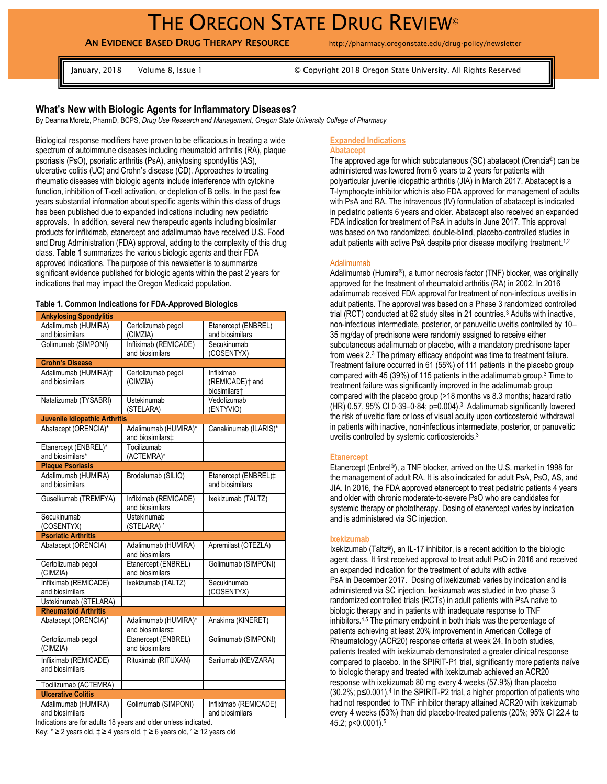**AN EVIDENCE BASED DRUG THERAPY RESOURCE** http://pharmacy.oregonstate.edu/drug-policy/newsletter

January, 2018 Volume 8, Issue 1 © Copyright 2018 Oregon State University. All Rights Reserved

# **What's New with Biologic Agents for Inflammatory Diseases?**

By Deanna Moretz, PharmD, BCPS, *Drug Use Research and Management, Oregon State University College of Pharmacy*

Biological response modifiers have proven to be efficacious in treating a wide spectrum of autoimmune diseases including rheumatoid arthritis (RA), plaque psoriasis (PsO), psoriatic arthritis (PsA), ankylosing spondylitis (AS), ulcerative colitis (UC) and Crohn's disease (CD). Approaches to treating rheumatic diseases with biologic agents include interference with cytokine function, inhibition of T-cell activation, or depletion of B cells. In the past few years substantial information about specific agents within this class of drugs has been published due to expanded indications including new pediatric approvals. In addition, several new therapeutic agents including biosimilar products for infliximab, etanercept and adalimumab have received U.S. Food and Drug Administration (FDA) approval, adding to the complexity of this drug class. **Table 1** summarizes the various biologic agents and their FDA approved indications. The purpose of this newsletter is to summarize significant evidence published for biologic agents within the past 2 years for indications that may impact the Oregon Medicaid population.

#### **Table 1. Common Indications for FDA-Approved Biologics**

| <b>Ankylosing Spondylitis</b>        |                              |                             |
|--------------------------------------|------------------------------|-----------------------------|
| Adalimumab (HUMIRA)                  | Certolizumab pegol           | Etanercept (ENBREL)         |
| and biosimilars                      | (CIMZIA)                     | and biosimilars             |
| Golimumab (SIMPONI)                  | Infliximab (REMICADE)        | Secukinumab                 |
|                                      | and biosimilars              | (COSENTYX)                  |
| <b>Crohn's Disease</b>               |                              |                             |
| Adalimumab (HUMIRA)t                 | Certolizumab pegol           | Infliximab                  |
| and biosimilars                      | (CIMZIA)                     | (REMICADE) <sup>†</sup> and |
|                                      |                              | biosimilars†                |
| Natalizumab (TYSABRI)                | Ustekinumab                  | Vedolizumab                 |
|                                      | (STELARA)                    | (ENTYVIO)                   |
| <b>Juvenile Idiopathic Arthritis</b> |                              |                             |
| Abatacept (ORENCIA)*                 | Adalimumab (HUMIRA)*         | Canakinumab (ILARIS)*       |
|                                      | and biosimilars <sup>+</sup> |                             |
| Etanercept (ENBREL)*                 | Tocilizumab                  |                             |
| and biosimilars*                     | (ACTEMRA)*                   |                             |
| <b>Plaque Psoriasis</b>              |                              |                             |
| Adalimumab (HUMIRA)                  | Brodalumab (SILIQ)           | Etanercept (ENBREL)‡        |
| and biosimilars                      |                              | and biosimilars             |
| Guselkumab (TREMFYA)                 | Infliximab (REMICADE)        | Ixekizumab (TALTZ)          |
|                                      | and biosimilars              |                             |
| Secukinumab                          | Ustekinumab                  |                             |
| (COSENTYX)                           | (STELARA) ^                  |                             |
| <b>Psoriatic Arthritis</b>           |                              |                             |
| Abatacept (ORENCIA)                  | Adalimumab (HUMIRA)          | Apremilast (OTEZLA)         |
|                                      | and biosimilars              |                             |
| Certolizumab pegol                   | Etanercept (ENBREL)          | Golimumab (SIMPONI)         |
| (CIMZIA)                             | and biosimilars              |                             |
| Infliximab (REMICADE)                | Ixekizumab (TALTZ)           | Secukinumab                 |
| and biosimilars                      |                              | (COSENTYX)                  |
| Ustekinumab (STELARA)                |                              |                             |
| <b>Rheumatoid Arthritis</b>          |                              |                             |
| Abatacept (ORENCIA)*                 | Adalimumab (HUMIRA)*         | Anakinra (KINERET)          |
|                                      | and biosimilars‡             |                             |
| Certolizumab pegol                   | Etanercept (ENBREL)          | Golimumab (SIMPONI)         |
| (CIMZIA)                             | and biosimilars              |                             |
| Infliximab (REMICADE)                | Rituximab (RITUXAN)          | Sarilumab (KEVZARA)         |
| and biosimilars                      |                              |                             |
|                                      |                              |                             |
| Tocilizumab (ACTEMRA)                |                              |                             |
| <b>Ulcerative Colitis</b>            |                              |                             |
| Adalimumab (HUMIRA)                  | Golimumab (SIMPONI)          | Infliximab (REMICADE)       |
| and biosimilars                      |                              | and biosimilars             |

Indications are for adults 18 years and older unless indicated.

Key:  $*$  ≥ 2 years old,  $\ddagger$  ≥ 4 years old,  $\uparrow$  ≥ 6 years old,  $\uparrow$  ≥ 12 years old

### **Expanded Indications**

#### **Abatacept**

The approved age for which subcutaneous (SC) abatacept (Orencia®) can be administered was lowered from 6 years to 2 years for patients with polyarticular juvenile idiopathic arthritis (JIA) in March 2017. Abatacept is a T-lymphocyte inhibitor which is also FDA approved for management of adults with PsA and RA. The intravenous (IV) formulation of abatacept is indicated in pediatric patients 6 years and older. Abatacept also received an expanded FDA indication for treatment of PsA in adults in June 2017. This approval was based on two randomized, double-blind, placebo-controlled studies in adult patients with active PsA despite prior disease modifying treatment.<sup>1,2</sup>

#### Adalimumab

Adalimumab (Humira®), a tumor necrosis factor (TNF) blocker, was originally approved for the treatment of rheumatoid arthritis (RA) in 2002. In 2016 adalimumab received FDA approval for treatment of non-infectious uveitis in adult patients. The approval was based on a Phase 3 randomized controlled trial (RCT) conducted at 62 study sites in 21 countries.<sup>3</sup> Adults with inactive, non-infectious intermediate, posterior, or panuveitic uveitis controlled by 10– 35 mg/day of prednisone were randomly assigned to receive either subcutaneous adalimumab or placebo, with a mandatory prednisone taper from week 2.<sup>3</sup> The primary efficacy endpoint was time to treatment failure. Treatment failure occurred in 61 (55%) of 111 patients in the placebo group compared with 45 (39%) of 115 patients in the adalimumab group.<sup>3</sup> Time to treatment failure was significantly improved in the adalimumab group compared with the placebo group (>18 months vs 8.3 months; hazard ratio  $(HR)$  0.57, 95% CI 0.39–0.84; p=0.004).<sup>3</sup> Adalimumab significantly lowered the risk of uveitic flare or loss of visual acuity upon corticosteroid withdrawal in patients with inactive, non-infectious intermediate, posterior, or panuveitic uveitis controlled by systemic corticosteroids.<sup>3</sup>

#### **Etanercept**

Etanercept (Enbrel®), a TNF blocker, arrived on the U.S. market in 1998 for the management of adult RA. It is also indicated for adult PsA, PsO, AS, and JIA. In 2016, the FDA approved etanercept to treat pediatric patients 4 years and older with chronic moderate-to-severe PsO who are candidates for systemic therapy or phototherapy. Dosing of etanercept varies by indication and is administered via SC injection.

#### **Ixekizumab**

Ixekizumab (Taltz®), an IL-17 inhibitor, is a recent addition to the biologic agent class. It first received approval to treat adult PsO in 2016 and received an expanded indication for the treatment of adults with active PsA in December 2017. Dosing of ixekizumab varies by indication and is administered via SC injection. Ixekizumab was studied in two phase 3 randomized controlled trials (RCTs) in adult patients with PsA naïve to biologic therapy and in patients with inadequate response to TNF inhibitors.4,5 The primary endpoint in both trials was the percentage of patients achieving at least 20% improvement in American College of Rheumatology (ACR20) response criteria at week 24. In both studies, patients treated with ixekizumab demonstrated a greater clinical response compared to placebo. In the SPIRIT-P1 trial, significantly more patients naïve to biologic therapy and treated with ixekizumab achieved an ACR20 response with ixekizumab 80 mg every 4 weeks (57.9%) than placebo (30.2%; p≤0.001).<sup>4</sup> In the SPIRIT-P2 trial, a higher proportion of patients who had not responded to TNF inhibitor therapy attained ACR20 with ixekizumab every 4 weeks (53%) than did placebo-treated patients (20%; 95% CI 22.4 to 45.2; p<0.0001).<sup>5</sup>